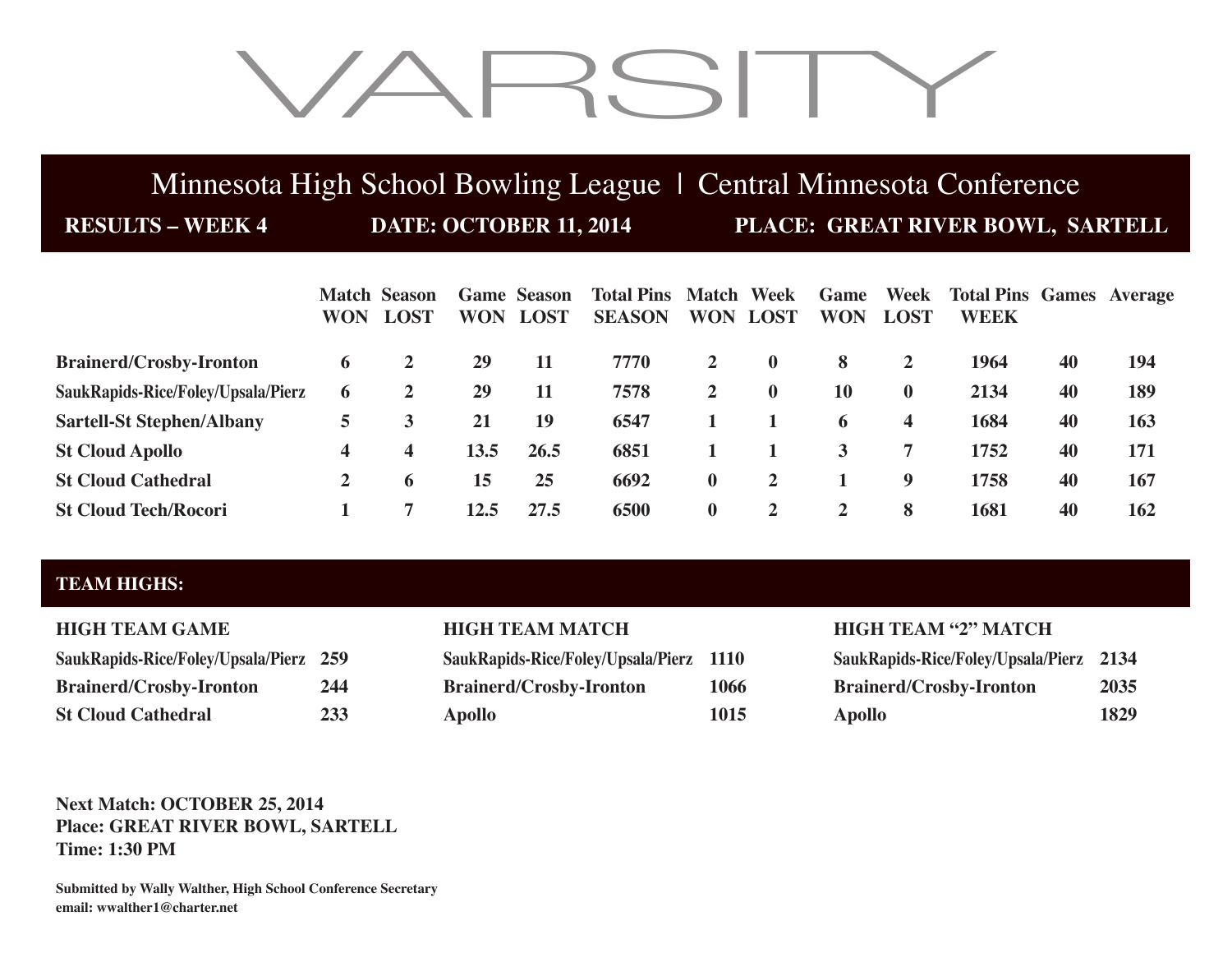# VARSITY

## Minnesota High School Bowling League | Central Minnesota Conference

**RESULTS – WEEK 4 DATE: OCTOBER 11, 2014 PLACE: GREAT RIVER BOWL, SARTELL**

|                                    | <b>WON</b>   | <b>Match Season</b><br><b>LOST</b> | <b>WON</b> | <b>Game Season</b><br>LOST | <b>Total Pins Match Week</b><br><b>SEASON</b> |                | <b>WON LOST</b> | Game<br><b>WON</b> | Week<br><b>LOST</b>     | <b>Total Pins Games Average</b><br><b>WEEK</b> |    |     |
|------------------------------------|--------------|------------------------------------|------------|----------------------------|-----------------------------------------------|----------------|-----------------|--------------------|-------------------------|------------------------------------------------|----|-----|
| <b>Brainerd/Crosby-Ironton</b>     | 6            | 2                                  | 29         | 11                         | 7770                                          | $\mathbf{2}$   | $\mathbf{0}$    | 8                  | $\mathbf{2}$            | 1964                                           | 40 | 194 |
| SaukRapids-Rice/Foley/Upsala/Pierz | 6            | 2                                  | 29         | 11                         | 7578                                          | $\overline{2}$ | $\mathbf{0}$    | 10                 | $\mathbf{0}$            | 2134                                           | 40 | 189 |
| <b>Sartell-St Stephen/Albany</b>   | 5            | 3                                  | 21         | 19                         | 6547                                          |                |                 | 6                  | $\overline{\mathbf{4}}$ | 1684                                           | 40 | 163 |
| <b>St Cloud Apollo</b>             | 4            | 4                                  | 13.5       | 26.5                       | 6851                                          |                |                 | 3                  |                         | 1752                                           | 40 | 171 |
| <b>St Cloud Cathedral</b>          | $\mathbf{2}$ | 6                                  | 15         | 25                         | 6692                                          | $\mathbf{0}$   | 2               |                    | 9                       | 1758                                           | 40 | 167 |
| <b>St Cloud Tech/Rocori</b>        |              |                                    | 12.5       | 27.5                       | 6500                                          | $\mathbf{0}$   | 2               | $\mathbf{2}$       | -8                      | 1681                                           | 40 | 162 |

## **TEAM HIGHS:**

| SaukRapids-Rice/Foley/Upsala/Pierz | 259 |
|------------------------------------|-----|
| <b>Brainerd/Crosby-Ironton</b>     | 244 |
| <b>St Cloud Cathedral</b>          | 233 |

| SaukRapids-Rice/Foley/Upsala/Pierz 1110 |      |
|-----------------------------------------|------|
| <b>Brainerd/Crosby-Ironton</b>          | 1066 |
| <b>Apollo</b>                           | 1015 |

### **HIGH TEAM GAME HIGH TEAM MATCH HIGH TEAM "2" MATCH**

| SaukRapids-Rice/Foley/Upsala/Pierz 259 |     | SaukRapids-Rice/Foley/Upsala/Pierz 1110 |      | SaukRapids-Rice/Foley/Upsala/Pierz 2134 |      |
|----------------------------------------|-----|-----------------------------------------|------|-----------------------------------------|------|
| <b>Brainerd/Crosby-Ironton</b>         | 244 | <b>Brainerd/Crosby-Ironton</b>          | 1066 | <b>Brainerd/Crosby-Ironton</b>          | 2035 |
| St Cloud Cathedral                     |     | Apollo                                  | 1015 | <b>Apollo</b>                           | 1829 |

### **Next Match: OCTOBER 25, 2014 Place: GREAT RIVER BOWL, SARTELL Time: 1:30 PM**

**Submitted by Wally Walther, High School Conference Secretary email: wwalther1@charter.net**